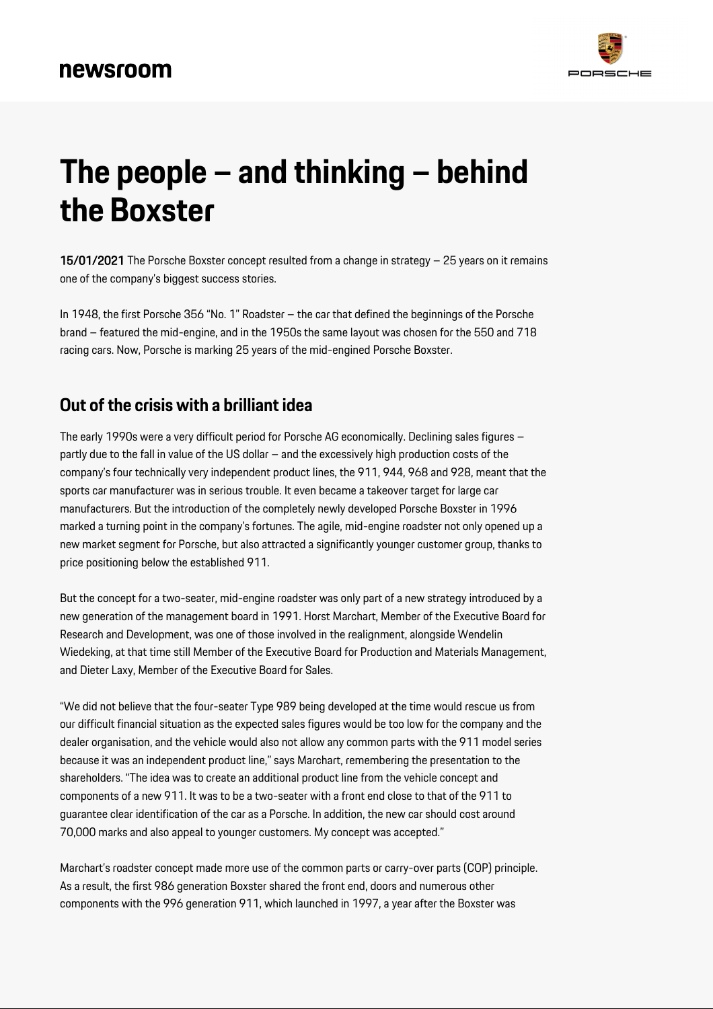## newsroom



# **The people – and thinking – behind the Boxster**

15/01/2021 The Porsche Boxster concept resulted from a change in strategy – 25 years on it remains one of the company's biggest success stories.

In 1948, the first Porsche 356 "No. 1" Roadster – the car that defined the beginnings of the Porsche brand – featured the mid-engine, and in the 1950s the same layout was chosen for the 550 and 718 racing cars. Now, Porsche is marking 25 years of the mid-engined Porsche Boxster.

### **Out of the crisis with a brilliant idea**

The early 1990s were a very difficult period for Porsche AG economically. Declining sales figures – partly due to the fall in value of the US dollar – and the excessively high production costs of the company's four technically very independent product lines, the 911, 944, 968 and 928, meant that the sports car manufacturer was in serious trouble. It even became a takeover target for large car manufacturers. But the introduction of the completely newly developed Porsche Boxster in 1996 marked a turning point in the company's fortunes. The agile, mid-engine roadster not only opened up a new market segment for Porsche, but also attracted a significantly younger customer group, thanks to price positioning below the established 911.

But the concept for a two-seater, mid-engine roadster was only part of a new strategy introduced by a new generation of the management board in 1991. Horst Marchart, Member of the Executive Board for Research and Development, was one of those involved in the realignment, alongside Wendelin Wiedeking, at that time still Member of the Executive Board for Production and Materials Management, and Dieter Laxy, Member of the Executive Board for Sales.

"We did not believe that the four-seater Type 989 being developed at the time would rescue us from our difficult financial situation as the expected sales figures would be too low for the company and the dealer organisation, and the vehicle would also not allow any common parts with the 911 model series because it was an independent product line," says Marchart, remembering the presentation to the shareholders. "The idea was to create an additional product line from the vehicle concept and components of a new 911. It was to be a two-seater with a front end close to that of the 911 to guarantee clear identification of the car as a Porsche. In addition, the new car should cost around 70,000 marks and also appeal to younger customers. My concept was accepted."

Marchart's roadster concept made more use of the common parts or carry-over parts (COP) principle. As a result, the first 986 generation Boxster shared the front end, doors and numerous other components with the 996 generation 911, which launched in 1997, a year after the Boxster was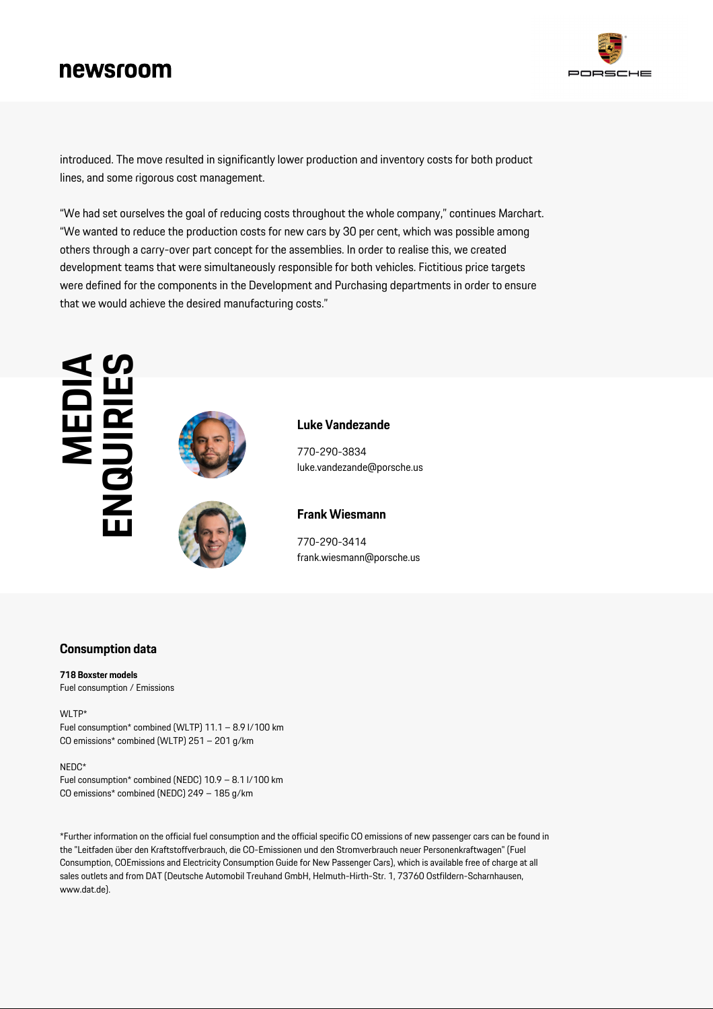## newsroom



introduced. The move resulted in significantly lower production and inventory costs for both product lines, and some rigorous cost management.

"We had set ourselves the goal of reducing costs throughout the whole company," continues Marchart. "We wanted to reduce the production costs for new cars by 30 per cent, which was possible among others through a carry-over part concept for the assemblies. In order to realise this, we created development teams that were simultaneously responsible for both vehicles. Fictitious price targets were defined for the components in the Development and Purchasing departments in order to ensure that we would achieve the desired manufacturing costs."



#### **Consumption data**

#### **718 Boxster models** Fuel consumption / Emissions

WLTP\* Fuel consumption\* combined (WLTP) 11.1 – 8.9 l/100 km CO emissions\* combined (WLTP) 251 – 201 g/km

#### NEDC\*

Fuel consumption\* combined (NEDC) 10.9 – 8.1 l/100 km CO emissions\* combined (NEDC) 249 – 185 g/km

\*Further information on the official fuel consumption and the official specific CO emissions of new passenger cars can be found in the "Leitfaden über den Kraftstoffverbrauch, die CO-Emissionen und den Stromverbrauch neuer Personenkraftwagen" (Fuel Consumption, COEmissions and Electricity Consumption Guide for New Passenger Cars), which is available free of charge at all sales outlets and from DAT (Deutsche Automobil Treuhand GmbH, Helmuth-Hirth-Str. 1, 73760 Ostfildern-Scharnhausen, www.dat.de).